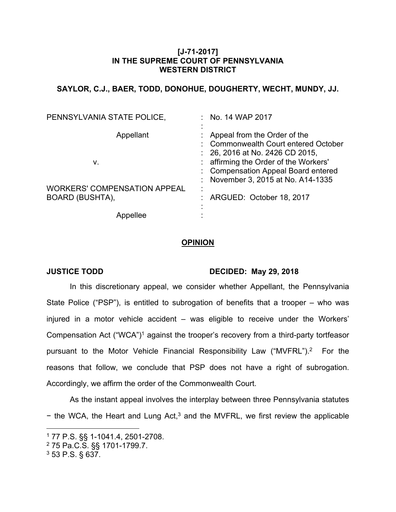## **[J-71-2017] IN THE SUPREME COURT OF PENNSYLVANIA WESTERN DISTRICT**

# **SAYLOR, C.J., BAER, TODD, DONOHUE, DOUGHERTY, WECHT, MUNDY, JJ.**

| PENNSYLVANIA STATE POLICE,                                    | $:$ No. 14 WAP 2017                                                                                                                                                                                                         |
|---------------------------------------------------------------|-----------------------------------------------------------------------------------------------------------------------------------------------------------------------------------------------------------------------------|
| Appellant<br>v.                                               | Appeal from the Order of the<br>: Commonwealth Court entered October<br>$: 26, 2016$ at No. 2426 CD 2015,<br>affirming the Order of the Workers'<br>: Compensation Appeal Board entered<br>November 3, 2015 at No. A14-1335 |
| <b>WORKERS' COMPENSATION APPEAL</b><br><b>BOARD (BUSHTA),</b> | ARGUED: October 18, 2017                                                                                                                                                                                                    |
|                                                               |                                                                                                                                                                                                                             |

### **OPINION**

## **JUSTICE TODD DECIDED: May 29, 2018**

In this discretionary appeal, we consider whether Appellant, the Pennsylvania State Police ("PSP"), is entitled to subrogation of benefits that a trooper – who was injured in a motor vehicle accident – was eligible to receive under the Workers' Compensation Act ("WCA")<sup>1</sup> against the trooper's recovery from a third-party tortfeasor pursuant to the Motor Vehicle Financial Responsibility Law ("MVFRL").<sup>2</sup> For the reasons that follow, we conclude that PSP does not have a right of subrogation. Accordingly, we affirm the order of the Commonwealth Court.

As the instant appeal involves the interplay between three Pennsylvania statutes − the WCA, the Heart and Lung Act,<sup>3</sup> and the MVFRL, we first review the applicable

3 53 P.S. § 637.

<sup>1</sup> 77 P.S. §§ 1-1041.4, 2501-2708.

<sup>2</sup> 75 Pa.C.S. §§ 1701-1799.7.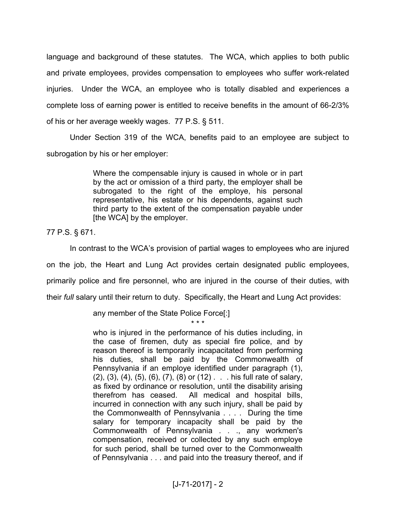language and background of these statutes. The WCA, which applies to both public and private employees, provides compensation to employees who suffer work-related injuries. Under the WCA, an employee who is totally disabled and experiences a complete loss of earning power is entitled to receive benefits in the amount of 66-2/3% of his or her average weekly wages. 77 P.S. § 511.

Under Section 319 of the WCA, benefits paid to an employee are subject to subrogation by his or her employer:

> Where the compensable injury is caused in whole or in part by the act or omission of a third party, the employer shall be subrogated to the right of the employe, his personal representative, his estate or his dependents, against such third party to the extent of the compensation payable under [the WCA] by the employer.

77 P.S. § 671.

In contrast to the WCA's provision of partial wages to employees who are injured on the job, the Heart and Lung Act provides certain designated public employees, primarily police and fire personnel, who are injured in the course of their duties, with their *full* salary until their return to duty. Specifically, the Heart and Lung Act provides:

\* \* \*

any member of the State Police Force[:]

who is injured in the performance of his duties including, in the case of firemen, duty as special fire police, and by reason thereof is temporarily incapacitated from performing his duties, shall be paid by the Commonwealth of Pennsylvania if an employe identified under paragraph (1), (2), (3), (4), (5), (6), (7), (8) or (12) . . . his full rate of salary, as fixed by ordinance or resolution, until the disability arising therefrom has ceased. All medical and hospital bills, incurred in connection with any such injury, shall be paid by the Commonwealth of Pennsylvania . . . . During the time salary for temporary incapacity shall be paid by the Commonwealth of Pennsylvania . . ., any workmen's compensation, received or collected by any such employe for such period, shall be turned over to the Commonwealth of Pennsylvania . . . and paid into the treasury thereof, and if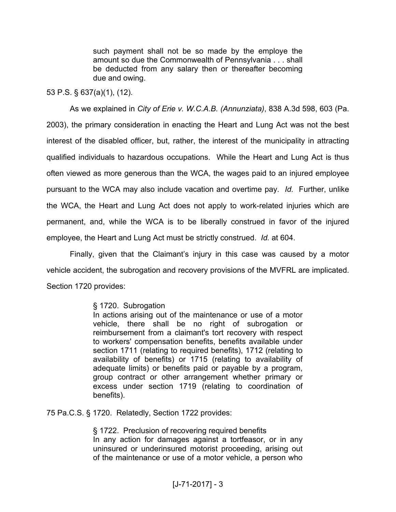such payment shall not be so made by the employe the amount so due the Commonwealth of Pennsylvania . . . shall be deducted from any salary then or thereafter becoming due and owing.

## 53 P.S. § 637(a)(1), (12).

As we explained in *City of Erie v. W.C.A.B. (Annunziata)*, 838 A.3d 598, 603 (Pa. 2003), the primary consideration in enacting the Heart and Lung Act was not the best interest of the disabled officer, but, rather, the interest of the municipality in attracting qualified individuals to hazardous occupations. While the Heart and Lung Act is thus often viewed as more generous than the WCA, the wages paid to an injured employee pursuant to the WCA may also include vacation and overtime pay. *Id.* Further, unlike the WCA, the Heart and Lung Act does not apply to work-related injuries which are permanent, and, while the WCA is to be liberally construed in favor of the injured employee, the Heart and Lung Act must be strictly construed. *Id.* at 604.

Finally, given that the Claimant's injury in this case was caused by a motor vehicle accident, the subrogation and recovery provisions of the MVFRL are implicated. Section 1720 provides:

## § 1720. Subrogation

In actions arising out of the maintenance or use of a motor vehicle, there shall be no right of subrogation or reimbursement from a claimant's tort recovery with respect to workers' compensation benefits, benefits available under section 1711 (relating to required benefits), 1712 (relating to availability of benefits) or 1715 (relating to availability of adequate limits) or benefits paid or payable by a program, group contract or other arrangement whether primary or excess under section 1719 (relating to coordination of benefits).

75 Pa.C.S. § 1720. Relatedly, Section 1722 provides:

§ 1722. Preclusion of recovering required benefits In any action for damages against a tortfeasor, or in any uninsured or underinsured motorist proceeding, arising out of the maintenance or use of a motor vehicle, a person who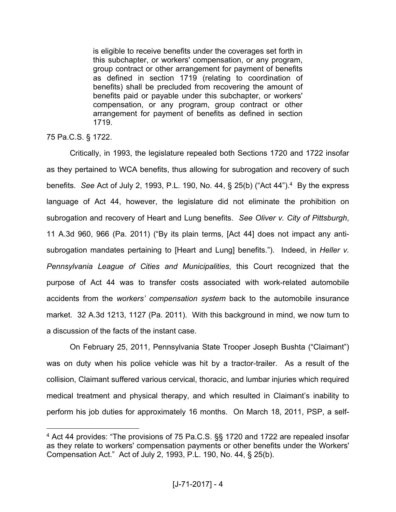is eligible to receive benefits under the coverages set forth in this subchapter, or workers' compensation, or any program, group contract or other arrangement for payment of benefits as defined in section 1719 (relating to coordination of benefits) shall be precluded from recovering the amount of benefits paid or payable under this subchapter, or workers' compensation, or any program, group contract or other arrangement for payment of benefits as defined in section 1719.

75 Pa.C.S. § 1722.

Critically, in 1993, the legislature repealed both Sections 1720 and 1722 insofar as they pertained to WCA benefits, thus allowing for subrogation and recovery of such benefits. See Act of July 2, 1993, P.L. 190, No. 44, § 25(b) ("Act 44").<sup>4</sup> By the express language of Act 44, however, the legislature did not eliminate the prohibition on subrogation and recovery of Heart and Lung benefits. *See Oliver v. City of Pittsburgh*, 11 A.3d 960, 966 (Pa. 2011) ("By its plain terms, [Act 44] does not impact any antisubrogation mandates pertaining to [Heart and Lung] benefits."). Indeed, in *Heller v. Pennsylvania League of Cities and Municipalities*, this Court recognized that the purpose of Act 44 was to transfer costs associated with work-related automobile accidents from the *workers' compensation system* back to the automobile insurance market. 32 A.3d 1213, 1127 (Pa. 2011). With this background in mind, we now turn to a discussion of the facts of the instant case.

On February 25, 2011, Pennsylvania State Trooper Joseph Bushta ("Claimant") was on duty when his police vehicle was hit by a tractor-trailer. As a result of the collision, Claimant suffered various cervical, thoracic, and lumbar injuries which required medical treatment and physical therapy, and which resulted in Claimant's inability to perform his job duties for approximately 16 months. On March 18, 2011, PSP, a self-

<sup>4</sup> Act 44 provides: "The provisions of 75 Pa.C.S. §§ 1720 and 1722 are repealed insofar as they relate to workers' compensation payments or other benefits under the Workers' Compensation Act." Act of July 2, 1993, P.L. 190, No. 44, § 25(b).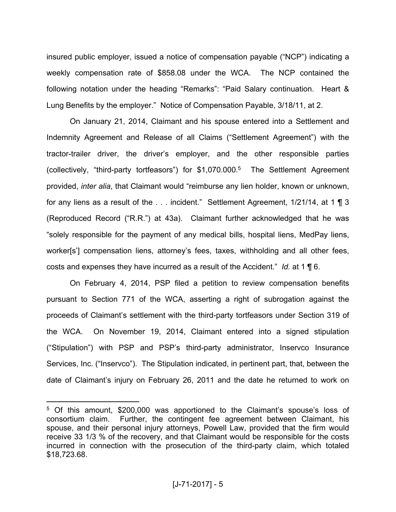insured public employer, issued a notice of compensation payable ("NCP") indicating a weekly compensation rate of \$858.08 under the WCA. The NCP contained the following notation under the heading "Remarks": "Paid Salary continuation. Heart & Lung Benefits by the employer." Notice of Compensation Payable, 3/18/11, at 2.

On January 21, 2014, Claimant and his spouse entered into a Settlement and Indemnity Agreement and Release of all Claims ("Settlement Agreement") with the tractor-trailer driver, the driver's employer, and the other responsible parties (collectively, "third-party tortfeasors") for \$1,070.000.<sup>5</sup> The Settlement Agreement provided, *inter alia*, that Claimant would "reimburse any lien holder, known or unknown, for any liens as a result of the . . . incident." Settlement Agreement, 1/21/14, at 1 ¶ 3 (Reproduced Record ("R.R.") at 43a). Claimant further acknowledged that he was "solely responsible for the payment of any medical bills, hospital liens, MedPay liens, worker[s'] compensation liens, attorney's fees, taxes, withholding and all other fees, costs and expenses they have incurred as a result of the Accident." *Id.* at 1 ¶ 6.

On February 4, 2014, PSP filed a petition to review compensation benefits pursuant to Section 771 of the WCA, asserting a right of subrogation against the proceeds of Claimant's settlement with the third-party tortfeasors under Section 319 of the WCA. On November 19, 2014, Claimant entered into a signed stipulation ("Stipulation") with PSP and PSP's third-party administrator, Inservco Insurance Services, Inc. ("Inservco"). The Stipulation indicated, in pertinent part, that, between the date of Claimant's injury on February 26, 2011 and the date he returned to work on

<sup>5</sup> Of this amount, \$200,000 was apportioned to the Claimant's spouse's loss of consortium claim. Further, the contingent fee agreement between Claimant, his spouse, and their personal injury attorneys, Powell Law, provided that the firm would receive 33 1/3 % of the recovery, and that Claimant would be responsible for the costs incurred in connection with the prosecution of the third-party claim, which totaled \$18,723.68.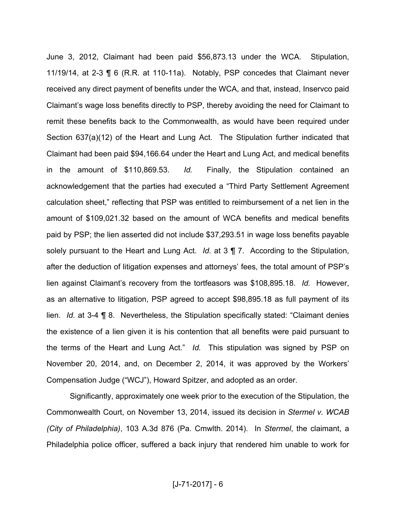June 3, 2012, Claimant had been paid \$56,873.13 under the WCA. Stipulation, 11/19/14, at 2-3 ¶ 6 (R.R. at 110-11a). Notably, PSP concedes that Claimant never received any direct payment of benefits under the WCA, and that, instead, Inservco paid Claimant's wage loss benefits directly to PSP, thereby avoiding the need for Claimant to remit these benefits back to the Commonwealth, as would have been required under Section 637(a)(12) of the Heart and Lung Act. The Stipulation further indicated that Claimant had been paid \$94,166.64 under the Heart and Lung Act, and medical benefits in the amount of \$110,869.53. *Id.* Finally, the Stipulation contained an acknowledgement that the parties had executed a "Third Party Settlement Agreement calculation sheet," reflecting that PSP was entitled to reimbursement of a net lien in the amount of \$109,021.32 based on the amount of WCA benefits and medical benefits paid by PSP; the lien asserted did not include \$37,293.51 in wage loss benefits payable solely pursuant to the Heart and Lung Act. *Id.* at 3 ¶ 7. According to the Stipulation, after the deduction of litigation expenses and attorneys' fees, the total amount of PSP's lien against Claimant's recovery from the tortfeasors was \$108,895.18. *Id.* However, as an alternative to litigation, PSP agreed to accept \$98,895.18 as full payment of its lien. *Id.* at 3-4 ¶ 8. Nevertheless, the Stipulation specifically stated: "Claimant denies the existence of a lien given it is his contention that all benefits were paid pursuant to the terms of the Heart and Lung Act." *Id.* This stipulation was signed by PSP on November 20, 2014, and, on December 2, 2014, it was approved by the Workers' Compensation Judge ("WCJ"), Howard Spitzer, and adopted as an order.

Significantly, approximately one week prior to the execution of the Stipulation, the Commonwealth Court, on November 13, 2014, issued its decision in *Stermel v. WCAB (City of Philadelphia)*, 103 A.3d 876 (Pa. Cmwlth. 2014). In *Stermel*, the claimant, a Philadelphia police officer, suffered a back injury that rendered him unable to work for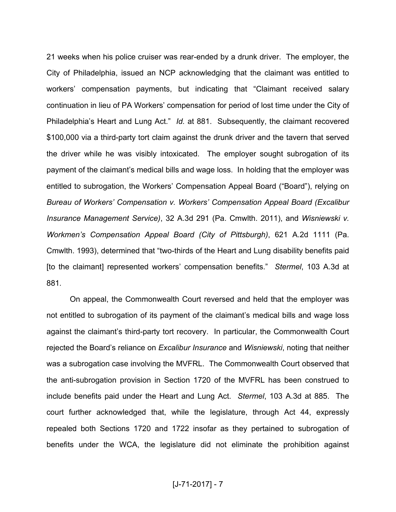21 weeks when his police cruiser was rear-ended by a drunk driver. The employer, the City of Philadelphia, issued an NCP acknowledging that the claimant was entitled to workers' compensation payments, but indicating that "Claimant received salary continuation in lieu of PA Workers' compensation for period of lost time under the City of Philadelphia's Heart and Lung Act." *Id.* at 881. Subsequently, the claimant recovered \$100,000 via a third-party tort claim against the drunk driver and the tavern that served the driver while he was visibly intoxicated. The employer sought subrogation of its payment of the claimant's medical bills and wage loss. In holding that the employer was entitled to subrogation, the Workers' Compensation Appeal Board ("Board"), relying on *Bureau of Workers' Compensation v. Workers' Compensation Appeal Board (Excalibur Insurance Management Service)*, 32 A.3d 291 (Pa. Cmwlth. 2011), and *Wisniewski v. Workmen's Compensation Appeal Board (City of Pittsburgh)*, 621 A.2d 1111 (Pa. Cmwlth. 1993), determined that "two-thirds of the Heart and Lung disability benefits paid [to the claimant] represented workers' compensation benefits." *Stermel*, 103 A.3d at 881*.*

On appeal, the Commonwealth Court reversed and held that the employer was not entitled to subrogation of its payment of the claimant's medical bills and wage loss against the claimant's third-party tort recovery. In particular, the Commonwealth Court rejected the Board's reliance on *Excalibur Insurance* and *Wisniewski*, noting that neither was a subrogation case involving the MVFRL. The Commonwealth Court observed that the anti-subrogation provision in Section 1720 of the MVFRL has been construed to include benefits paid under the Heart and Lung Act. *Stermel*, 103 A.3d at 885. The court further acknowledged that, while the legislature, through Act 44, expressly repealed both Sections 1720 and 1722 insofar as they pertained to subrogation of benefits under the WCA, the legislature did not eliminate the prohibition against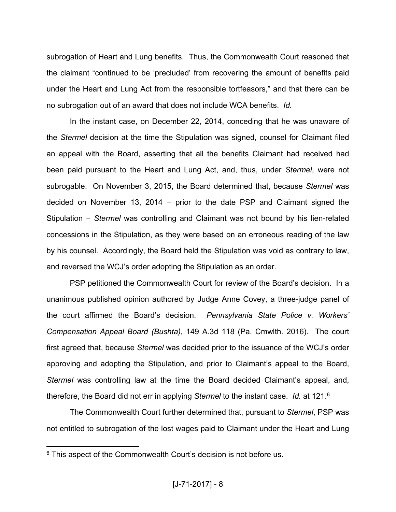subrogation of Heart and Lung benefits. Thus, the Commonwealth Court reasoned that the claimant "continued to be 'precluded' from recovering the amount of benefits paid under the Heart and Lung Act from the responsible tortfeasors," and that there can be no subrogation out of an award that does not include WCA benefits. *Id.*

In the instant case, on December 22, 2014, conceding that he was unaware of the *Stermel* decision at the time the Stipulation was signed, counsel for Claimant filed an appeal with the Board, asserting that all the benefits Claimant had received had been paid pursuant to the Heart and Lung Act, and, thus, under *Stermel*, were not subrogable. On November 3, 2015, the Board determined that, because *Stermel* was decided on November 13, 2014 − prior to the date PSP and Claimant signed the Stipulation − *Stermel* was controlling and Claimant was not bound by his lien-related concessions in the Stipulation, as they were based on an erroneous reading of the law by his counsel. Accordingly, the Board held the Stipulation was void as contrary to law, and reversed the WCJ's order adopting the Stipulation as an order.

PSP petitioned the Commonwealth Court for review of the Board's decision. In a unanimous published opinion authored by Judge Anne Covey, a three-judge panel of the court affirmed the Board's decision. *Pennsylvania State Police v. Workers' Compensation Appeal Board (Bushta)*, 149 A.3d 118 (Pa. Cmwlth. 2016). The court first agreed that, because *Stermel* was decided prior to the issuance of the WCJ's order approving and adopting the Stipulation, and prior to Claimant's appeal to the Board, *Stermel* was controlling law at the time the Board decided Claimant's appeal, and, therefore, the Board did not err in applying *Stermel* to the instant case. *Id.* at 121.<sup>6</sup>

The Commonwealth Court further determined that, pursuant to *Stermel*, PSP was not entitled to subrogation of the lost wages paid to Claimant under the Heart and Lung

 $6$  This aspect of the Commonwealth Court's decision is not before us.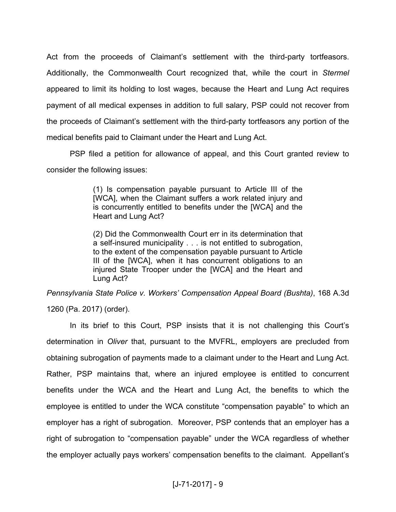Act from the proceeds of Claimant's settlement with the third-party tortfeasors. Additionally, the Commonwealth Court recognized that, while the court in *Stermel* appeared to limit its holding to lost wages, because the Heart and Lung Act requires payment of all medical expenses in addition to full salary, PSP could not recover from the proceeds of Claimant's settlement with the third-party tortfeasors any portion of the medical benefits paid to Claimant under the Heart and Lung Act.

PSP filed a petition for allowance of appeal, and this Court granted review to consider the following issues:

> (1) Is compensation payable pursuant to Article III of the [WCA], when the Claimant suffers a work related injury and is concurrently entitled to benefits under the [WCA] and the Heart and Lung Act?

> (2) Did the Commonwealth Court err in its determination that a self-insured municipality . . . is not entitled to subrogation, to the extent of the compensation payable pursuant to Article III of the [WCA], when it has concurrent obligations to an injured State Trooper under the [WCA] and the Heart and Lung Act?

*Pennsylvania State Police v. Workers' Compensation Appeal Board (Bushta)*, 168 A.3d 1260 (Pa. 2017) (order).

In its brief to this Court, PSP insists that it is not challenging this Court's determination in *Oliver* that, pursuant to the MVFRL, employers are precluded from obtaining subrogation of payments made to a claimant under to the Heart and Lung Act. Rather, PSP maintains that, where an injured employee is entitled to concurrent benefits under the WCA and the Heart and Lung Act, the benefits to which the employee is entitled to under the WCA constitute "compensation payable" to which an employer has a right of subrogation. Moreover, PSP contends that an employer has a right of subrogation to "compensation payable" under the WCA regardless of whether the employer actually pays workers' compensation benefits to the claimant. Appellant's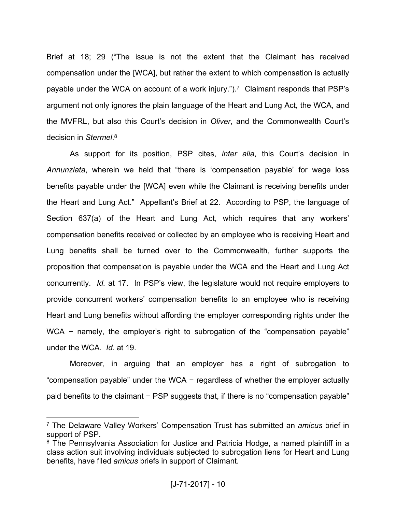Brief at 18; 29 ("The issue is not the extent that the Claimant has received compensation under the [WCA], but rather the extent to which compensation is actually payable under the WCA on account of a work injury.").<sup>7</sup> Claimant responds that PSP's argument not only ignores the plain language of the Heart and Lung Act, the WCA, and the MVFRL, but also this Court's decision in *Oliver*, and the Commonwealth Court's decision in *Stermel*. 8

As support for its position, PSP cites, *inter alia*, this Court's decision in *Annunziata*, wherein we held that "there is 'compensation payable' for wage loss benefits payable under the [WCA] even while the Claimant is receiving benefits under the Heart and Lung Act." Appellant's Brief at 22. According to PSP, the language of Section 637(a) of the Heart and Lung Act, which requires that any workers' compensation benefits received or collected by an employee who is receiving Heart and Lung benefits shall be turned over to the Commonwealth, further supports the proposition that compensation is payable under the WCA and the Heart and Lung Act concurrently. *Id.* at 17. In PSP's view, the legislature would not require employers to provide concurrent workers' compensation benefits to an employee who is receiving Heart and Lung benefits without affording the employer corresponding rights under the WCA – namely, the employer's right to subrogation of the "compensation payable" under the WCA. *Id.* at 19.

Moreover, in arguing that an employer has a right of subrogation to "compensation payable" under the WCA − regardless of whether the employer actually paid benefits to the claimant − PSP suggests that, if there is no "compensation payable"

<sup>7</sup> The Delaware Valley Workers' Compensation Trust has submitted an *amicus* brief in support of PSP.

<sup>&</sup>lt;sup>8</sup> The Pennsylvania Association for Justice and Patricia Hodge, a named plaintiff in a class action suit involving individuals subjected to subrogation liens for Heart and Lung benefits, have filed *amicus* briefs in support of Claimant.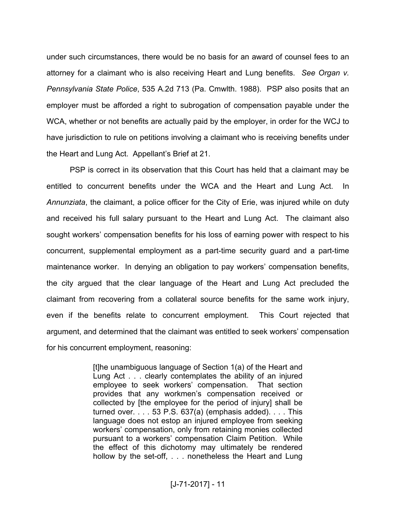under such circumstances, there would be no basis for an award of counsel fees to an attorney for a claimant who is also receiving Heart and Lung benefits. *See Organ v. Pennsylvania State Police*, 535 A.2d 713 (Pa. Cmwlth. 1988). PSP also posits that an employer must be afforded a right to subrogation of compensation payable under the WCA, whether or not benefits are actually paid by the employer, in order for the WCJ to have jurisdiction to rule on petitions involving a claimant who is receiving benefits under the Heart and Lung Act. Appellant's Brief at 21.

PSP is correct in its observation that this Court has held that a claimant may be entitled to concurrent benefits under the WCA and the Heart and Lung Act. In *Annunziata*, the claimant, a police officer for the City of Erie, was injured while on duty and received his full salary pursuant to the Heart and Lung Act. The claimant also sought workers' compensation benefits for his loss of earning power with respect to his concurrent, supplemental employment as a part-time security guard and a part-time maintenance worker. In denying an obligation to pay workers' compensation benefits, the city argued that the clear language of the Heart and Lung Act precluded the claimant from recovering from a collateral source benefits for the same work injury, even if the benefits relate to concurrent employment. This Court rejected that argument, and determined that the claimant was entitled to seek workers' compensation for his concurrent employment, reasoning:

> [t]he unambiguous language of Section 1(a) of the Heart and Lung Act . . . clearly contemplates the ability of an injured employee to seek workers' compensation. That section provides that any workmen's compensation received or collected by [the employee for the period of injury] shall be turned over.  $\ldots$  53 P.S. 637(a) (emphasis added).  $\ldots$  This language does not estop an injured employee from seeking workers' compensation, only from retaining monies collected pursuant to a workers' compensation Claim Petition. While the effect of this dichotomy may ultimately be rendered hollow by the set-off, . . . nonetheless the Heart and Lung

## [J-71-2017] - 11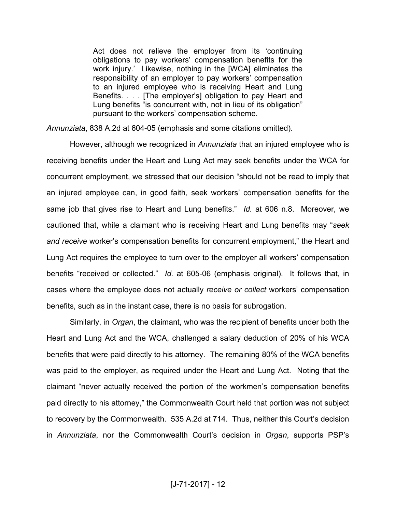Act does not relieve the employer from its 'continuing obligations to pay workers' compensation benefits for the work injury.' Likewise, nothing in the [WCA] eliminates the responsibility of an employer to pay workers' compensation to an injured employee who is receiving Heart and Lung Benefits. . . . [The employer's] obligation to pay Heart and Lung benefits "is concurrent with, not in lieu of its obligation" pursuant to the workers' compensation scheme.

*Annunziata*, 838 A.2d at 604-05 (emphasis and some citations omitted).

However, although we recognized in *Annunziata* that an injured employee who is receiving benefits under the Heart and Lung Act may seek benefits under the WCA for concurrent employment, we stressed that our decision "should not be read to imply that an injured employee can, in good faith, seek workers' compensation benefits for the same job that gives rise to Heart and Lung benefits." *Id.* at 606 n.8. Moreover, we cautioned that, while a claimant who is receiving Heart and Lung benefits may "*seek and receive* worker's compensation benefits for concurrent employment," the Heart and Lung Act requires the employee to turn over to the employer all workers' compensation benefits "received or collected." *Id.* at 605-06 (emphasis original). It follows that, in cases where the employee does not actually *receive or collect* workers' compensation benefits, such as in the instant case, there is no basis for subrogation.

Similarly, in *Organ*, the claimant, who was the recipient of benefits under both the Heart and Lung Act and the WCA, challenged a salary deduction of 20% of his WCA benefits that were paid directly to his attorney. The remaining 80% of the WCA benefits was paid to the employer, as required under the Heart and Lung Act. Noting that the claimant "never actually received the portion of the workmen's compensation benefits paid directly to his attorney," the Commonwealth Court held that portion was not subject to recovery by the Commonwealth. 535 A.2d at 714. Thus, neither this Court's decision in *Annunziata*, nor the Commonwealth Court's decision in *Organ*, supports PSP's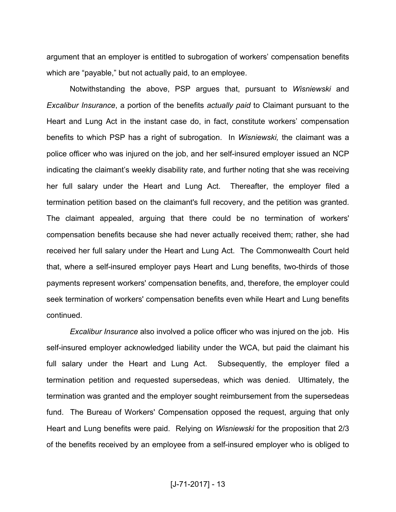argument that an employer is entitled to subrogation of workers' compensation benefits which are "payable," but not actually paid, to an employee.

Notwithstanding the above, PSP argues that, pursuant to *Wisniewski* and *Excalibur Insurance*, a portion of the benefits *actually paid* to Claimant pursuant to the Heart and Lung Act in the instant case do, in fact, constitute workers' compensation benefits to which PSP has a right of subrogation. In *Wisniewski,* the claimant was a police officer who was injured on the job, and her self-insured employer issued an NCP indicating the claimant's weekly disability rate, and further noting that she was receiving her full salary under the Heart and Lung Act. Thereafter, the employer filed a termination petition based on the claimant's full recovery, and the petition was granted. The claimant appealed, arguing that there could be no termination of workers' compensation benefits because she had never actually received them; rather, she had received her full salary under the Heart and Lung Act. The Commonwealth Court held that, where a self-insured employer pays Heart and Lung benefits, two-thirds of those payments represent workers' compensation benefits, and, therefore, the employer could seek termination of workers' compensation benefits even while Heart and Lung benefits continued.

*Excalibur Insurance* also involved a police officer who was injured on the job. His self-insured employer acknowledged liability under the WCA, but paid the claimant his full salary under the Heart and Lung Act. Subsequently, the employer filed a termination petition and requested supersedeas, which was denied. Ultimately, the termination was granted and the employer sought reimbursement from the supersedeas fund. The Bureau of Workers' Compensation opposed the request, arguing that only Heart and Lung benefits were paid. Relying on *Wisniewski* for the proposition that 2/3 of the benefits received by an employee from a self-insured employer who is obliged to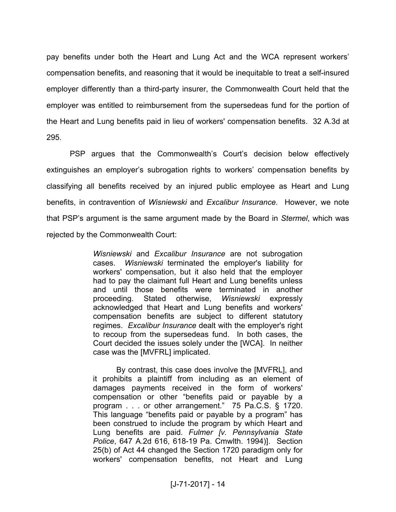pay benefits under both the Heart and Lung Act and the WCA represent workers' compensation benefits, and reasoning that it would be inequitable to treat a self-insured employer differently than a third-party insurer, the Commonwealth Court held that the employer was entitled to reimbursement from the supersedeas fund for the portion of the Heart and Lung benefits paid in lieu of workers' compensation benefits. 32 A.3d at 295.

PSP argues that the Commonwealth's Court's decision below effectively extinguishes an employer's subrogation rights to workers' compensation benefits by classifying all benefits received by an injured public employee as Heart and Lung benefits, in contravention of *Wisniewski* and *Excalibur Insurance.* However, we note that PSP's argument is the same argument made by the Board in *Stermel*, which was rejected by the Commonwealth Court:

> *Wisniewski* and *Excalibur Insurance* are not subrogation cases. *Wisniewski* terminated the employer's liability for workers' compensation, but it also held that the employer had to pay the claimant full Heart and Lung benefits unless and until those benefits were terminated in another proceeding. Stated otherwise, *Wisniewski* expressly acknowledged that Heart and Lung benefits and workers' compensation benefits are subject to different statutory regimes. *Excalibur Insurance* dealt with the employer's right to recoup from the supersedeas fund. In both cases, the Court decided the issues solely under the [WCA]. In neither case was the [MVFRL] implicated.

> By contrast, this case does involve the [MVFRL], and it prohibits a plaintiff from including as an element of damages payments received in the form of workers' compensation or other "benefits paid or payable by a program . . . or other arrangement." 75 Pa.C.S. § 1720. This language "benefits paid or payable by a program" has been construed to include the program by which Heart and Lung benefits are paid. *Fulmer [v. Pennsylvania State Police*, 647 A.2d 616, 618-19 Pa. Cmwlth. 1994)]. Section 25(b) of Act 44 changed the Section 1720 paradigm only for workers' compensation benefits, not Heart and Lung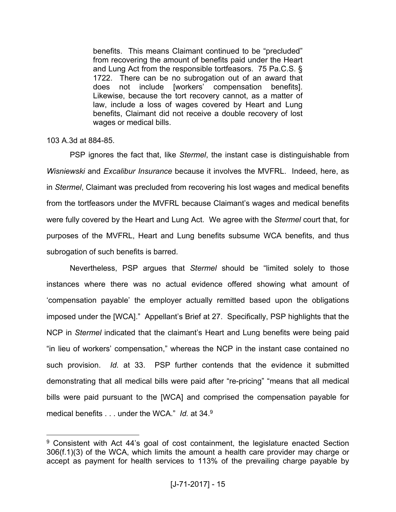benefits. This means Claimant continued to be "precluded" from recovering the amount of benefits paid under the Heart and Lung Act from the responsible tortfeasors. 75 Pa.C.S. § 1722. There can be no subrogation out of an award that does not include [workers' compensation benefits]. Likewise, because the tort recovery cannot, as a matter of law, include a loss of wages covered by Heart and Lung benefits, Claimant did not receive a double recovery of lost wages or medical bills.

## 103 A.3d at 884-85.

PSP ignores the fact that, like *Stermel*, the instant case is distinguishable from *Wisniewski* and *Excalibur Insurance* because it involves the MVFRL. Indeed, here, as in *Stermel*, Claimant was precluded from recovering his lost wages and medical benefits from the tortfeasors under the MVFRL because Claimant's wages and medical benefits were fully covered by the Heart and Lung Act. We agree with the *Stermel* court that, for purposes of the MVFRL, Heart and Lung benefits subsume WCA benefits, and thus subrogation of such benefits is barred.

Nevertheless, PSP argues that *Stermel* should be "limited solely to those instances where there was no actual evidence offered showing what amount of 'compensation payable' the employer actually remitted based upon the obligations imposed under the [WCA]." Appellant's Brief at 27. Specifically, PSP highlights that the NCP in *Stermel* indicated that the claimant's Heart and Lung benefits were being paid "in lieu of workers' compensation," whereas the NCP in the instant case contained no such provision. *Id.* at 33. PSP further contends that the evidence it submitted demonstrating that all medical bills were paid after "re-pricing" "means that all medical bills were paid pursuant to the [WCA] and comprised the compensation payable for medical benefits . . . under the WCA." *Id.* at 34.<sup>9</sup>

<sup>&</sup>lt;sup>9</sup> Consistent with Act 44's goal of cost containment, the legislature enacted Section 306(f.1)(3) of the WCA, which limits the amount a health care provider may charge or accept as payment for health services to 113% of the prevailing charge payable by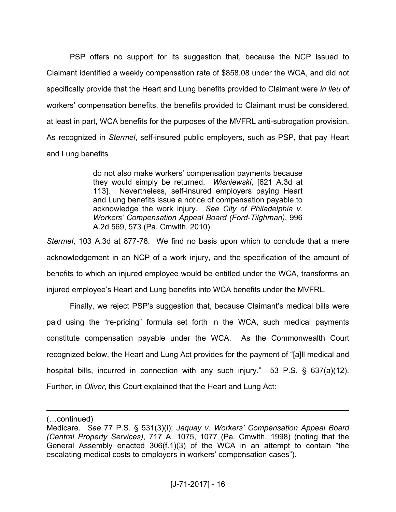PSP offers no support for its suggestion that, because the NCP issued to Claimant identified a weekly compensation rate of \$858.08 under the WCA, and did not specifically provide that the Heart and Lung benefits provided to Claimant were *in lieu of*  workers' compensation benefits, the benefits provided to Claimant must be considered, at least in part, WCA benefits for the purposes of the MVFRL anti-subrogation provision. As recognized in *Stermel*, self-insured public employers, such as PSP, that pay Heart and Lung benefits

> do not also make workers' compensation payments because they would simply be returned. *Wisniewski*, [621 A.3d at 113]. Nevertheless, self-insured employers paying Heart and Lung benefits issue a notice of compensation payable to acknowledge the work injury. *See City of Philadelphia v. Workers' Compensation Appeal Board (Ford-Tilghman)*, 996 A.2d 569, 573 (Pa. Cmwlth. 2010).

*Stermel*, 103 A.3d at 877-78. We find no basis upon which to conclude that a mere acknowledgement in an NCP of a work injury, and the specification of the amount of benefits to which an injured employee would be entitled under the WCA, transforms an injured employee's Heart and Lung benefits into WCA benefits under the MVFRL.

Finally, we reject PSP's suggestion that, because Claimant's medical bills were paid using the "re-pricing" formula set forth in the WCA, such medical payments constitute compensation payable under the WCA. As the Commonwealth Court recognized below, the Heart and Lung Act provides for the payment of "[a]ll medical and hospital bills, incurred in connection with any such injury." 53 P.S. § 637(a)(12). Further, in *Oliver*, this Court explained that the Heart and Lung Act:

<sup>(…</sup>continued)

Medicare. *See* 77 P*.*S. § 531(3)(i); *Jaquay v. Workers' Compensation Appeal Board (Central Property Services)*, 717 A. 1075, 1077 (Pa. Cmwlth. 1998) (noting that the General Assembly enacted 306(f.1)(3) of the WCA in an attempt to contain "the escalating medical costs to employers in workers' compensation cases").